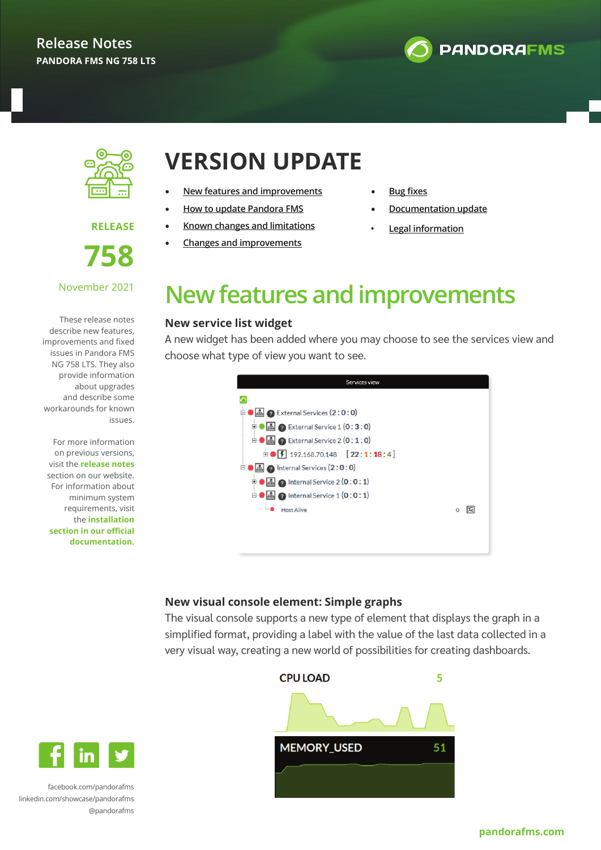



**RELEASE** 



#### November 2021

These release notes describe new features, improvements and fixed issues in Pandora FMS NG 758 LTS. They also provide information about upgrades and describe some workarounds for known issues.

For more information on previous versions, visit the **[release notes](https://pandorafms.com/releases/)** section on our website. For information about minimum system requirements, visit the **[installation](https://pandorafms.com/manual/en/documentation/02_installation/01_installing) [section in our official](https://pandorafms.com/manual/en/documentation/02_installation/01_installing) [documentation.](https://pandorafms.com/manual/en/documentation/02_installation/01_installing)**

## **VERSION UPDATE**

- **New features and improvements**
- **[How to update Pandora FMS](#page-1-0)**
- **[Known changes and limitations](#page-3-0)**
- **[Changes and improvements](#page-3-0)**
- **[Bug fixe](#page-5-0)s**
- **[Documentation update](#page-9-0)**
	- **• Legal information**

## **New features and improvements**

#### **New service list widget**

A new widget has been added where you may choose to see the services view and choose what type of view you want to see.

| Services view                                                     |         |
|-------------------------------------------------------------------|---------|
|                                                                   |         |
| External Services (2:0:0)                                         |         |
| <b>2</b> External Service 1 (0:3:0)<br>$\overline{+}$             |         |
| 2 External Service 2 (0:1:0)<br>ė                                 |         |
| $\bullet$ $\boxed{ }$ 192.168.70.148 $\boxed{ }$ 22:1:18:4]<br>由- |         |
| o Internal Services (2:0:0)                                       |         |
| $\odot$ Internal Service 2 (0:0:1)<br>田                           |         |
| $\Omega$ Internal Service $1$ $(0:0:1)$<br>Ė                      |         |
| <b>Host Alive</b>                                                 | Ιæ<br>O |
|                                                                   |         |
|                                                                   |         |
|                                                                   |         |

### **New visual console element: Simple graphs**

The visual console supports a new type of element that displays the graph in a simplified format, providing a label with the value of the last data collected in a very visual way, creating a new world of possibilities for creating dashboards.





[facebook.com/pandorafms](https://es-es.facebook.com/pandorafms/) [linkedin.com/showcase/pandorafms](https://www.linkedin.com/showcase/pandorafms) [@pandorafms](https://twitter.com/pandorafms)

#### **[pandorafms.com](http://pandorafms.com)**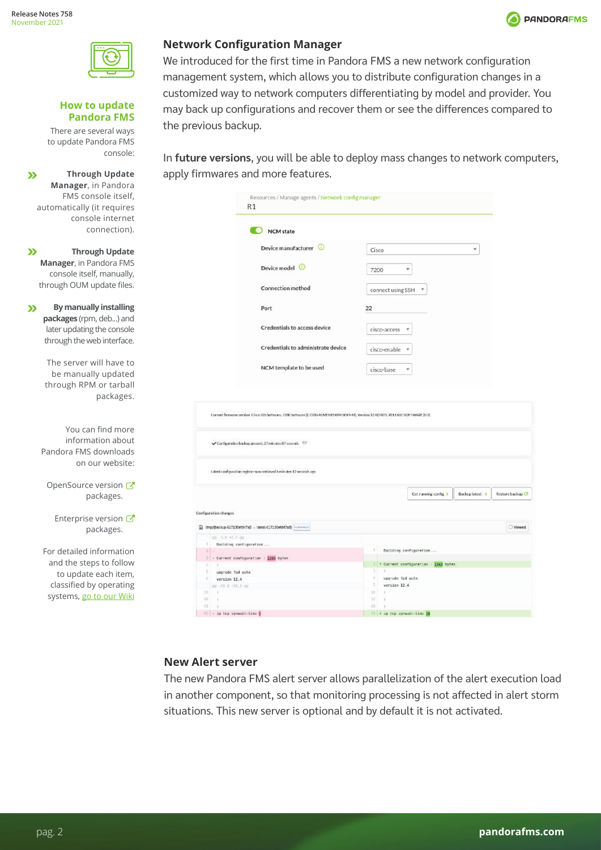$\mathbf{v}$ 

 $\boldsymbol{\Sigma}$ 

 $\mathbf{v}$ 

**Through Update** 

console:

<span id="page-1-0"></span>**How to update Pandora FMS** There are several ways to update Pandora FMS





#### **Network Configuration Manager**

We introduced for the first time in Pandora FMS a new network configuration management system, which allows you to distribute configuration changes in a customized way to network computers differentiating by model and provider. You may back up configurations and recover them or see the differences compared to the previous backup.

In **future versions**, you will be able to deploy mass changes to network computers, apply firmwares and more features.

| Manager, in Pandora                                             |                                                                                                                                   |                                                              |
|-----------------------------------------------------------------|-----------------------------------------------------------------------------------------------------------------------------------|--------------------------------------------------------------|
| FMS console itself.                                             | Resources / Manage agents / Network config manager                                                                                |                                                              |
| automatically (it requires                                      | R1                                                                                                                                |                                                              |
| console internet                                                |                                                                                                                                   |                                                              |
| connection).                                                    | <b>NCM</b> state                                                                                                                  |                                                              |
| <b>Through Update</b>                                           | Device manufacturer                                                                                                               | $\overline{\phantom{a}}$<br>Cisco                            |
| Manager, in Pandora FMS                                         | Device model <b>O</b>                                                                                                             | ÷<br>7200                                                    |
| console itself, manually,<br>through OUM update files.          | <b>Connection method</b>                                                                                                          |                                                              |
|                                                                 |                                                                                                                                   | connect using SSH                                            |
| <b>By manually installing</b><br>packages (rpm, deb) and        | Port                                                                                                                              | 22                                                           |
| later updating the console                                      | Credentials to access device                                                                                                      | cisco-access                                                 |
| through the web interface.                                      | Credentials to administrate device                                                                                                | cisco-enable                                                 |
| The server will have to<br>be manually updated                  | NCM template to be used                                                                                                           | cisco-base<br>$\overline{\mathbf{v}}$                        |
| through RPM or tarball<br>packages.                             |                                                                                                                                   |                                                              |
|                                                                 | Current firmware version: Cisco IOS Software, 7200 Software (C7200-ADVENTERPRISERV-M), Version 12-4(24)TS, RELEASE SOFTWARE [tc3] |                                                              |
| You can find more<br>information about<br>Pandora FMS downloads | Configuration backup present, 27 minutes 07 seconds                                                                               |                                                              |
| on our website:                                                 | Labest configuration register was retrieved & minutes 12 seconds ago                                                              |                                                              |
| OpenSource version <b>♂</b>                                     |                                                                                                                                   | Cet running config. ><br>Backup latest ><br>Restore backup C |
| packages.                                                       |                                                                                                                                   |                                                              |
| Enterprise version C                                            | Configuration changes                                                                                                             |                                                              |
| packages.                                                       | mp/backup-617130eft47a5 - latest-617130efd47a8} [418-9400]                                                                        | □ Viewed                                                     |
|                                                                 | $(0 - 1.6 + 1.5)$                                                                                                                 |                                                              |
| For detailed information                                        | Building configuration<br>21                                                                                                      | Building configuration                                       |
| and the steps to follow                                         | - Current configuration : 1309 bytes                                                                                              |                                                              |
|                                                                 | upprade fpd auto                                                                                                                  | + Current configuration : 1342 bytes                         |
| to update each item,                                            | version 12.4                                                                                                                      | upgrade fpd auto                                             |
| classified by operating                                         | ett - 59.8 +58.9 etc                                                                                                              | 5<br>version 12.4                                            |
| systems, go to our Wiki                                         | 59<br>68                                                                                                                          | 58<br>59                                                     |
|                                                                 | 61<br>$\mathcal{A}$                                                                                                               | 68                                                           |
|                                                                 | 62 - in try sympath, time t                                                                                                       | 61 a in tro inmusit. Time 10                                 |

#### **New Alert server**

The new Pandora FMS alert server allows parallelization of the alert execution load in another component, so that monitoring processing is not affected in alert storm situations. This new server is optional and by default it is not activated.

| t server allows parallelization of the al |
|-------------------------------------------|
| that monitoring processing is not affec   |
| .  III                                    |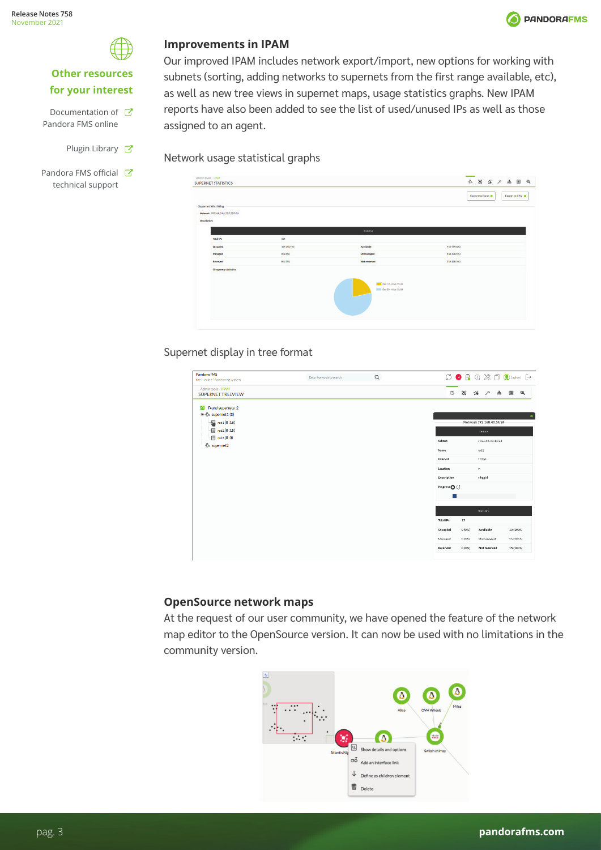

### **Other resources for your interest**

- Documentation of C Pandora FMS online
	- Plugin Library &
- Pandora FMS official C technical support

### **Improvements in IPAM**



**O** PANDORAFMS

as well as new tree views in supernet maps, usage statistics graphs. New IPAM reports have also been added to see the list of used/unused IPs as well as those assigned to an agent.

Network usage statistical graphs

| Administratic/IRAM<br>SUPERNET STATISTICS |          |                                                          | ☆ ※ ☆ / ふ 图 ◎                        |
|-------------------------------------------|----------|----------------------------------------------------------|--------------------------------------|
|                                           |          |                                                          | Export to CSV @<br>Export to Excel @ |
| <b>Supernet West Wing</b>                 |          |                                                          |                                      |
| Nebuoli: 192 148.00/2312310.0             |          |                                                          |                                      |
| Deaription                                |          |                                                          |                                      |
|                                           |          | <b>Madellin</b>                                          |                                      |
| <b>Bolden</b>                             | 324      |                                                          |                                      |
| Occupied                                  | 30709-00 | Analiside                                                | <b>RETITEANS</b>                     |
| Managed                                   | 801590   | Unmanaged                                                | 556198.590                           |
| Emerved                                   | 013300   | <b>Not reserved</b>                                      | 114 (98.9%)                          |
| <b>Oroganaystatistics</b><br>- - - -      |          | Mill Red TO - Allys Pic 22<br>1000 Red 80 - Alive Pac 84 |                                      |
|                                           |          |                                                          |                                      |

### Supernet display in tree format

| Pandora FMS<br>the Hexible Monitoring System                           | Enter keywords to search | $\alpha$ |                              | $\ominus \mod 2 \ \text{for} \ \mathbb{R} \ \text{or} \ \mathbb{R}$ |                |
|------------------------------------------------------------------------|--------------------------|----------|------------------------------|---------------------------------------------------------------------|----------------|
| Adminitools / IPAM<br>SUPERNET TREEVIEW                                |                          |          | 6                            | 发动方中国区                                                              |                |
| Found supernets: 2<br>ы<br>$\frac{1}{2}$ supernet1 (3)<br>图 red1(0:16) |                          |          |                              | Network 192.168.40.14/24                                            | $\pmb{\times}$ |
| $\Box$ red 2 (0 : 15)<br>图 reds(0:0)<br>€ supernet2                    |                          |          | Subrict<br>Name              | Details<br>192.165.40.14/24<br>redz                                 |                |
|                                                                        |                          |          | interval                     | 1 days                                                              |                |
|                                                                        |                          |          | Location<br>Description      | $\mathbf{m}$<br>mhazhd                                              |                |
|                                                                        |                          |          | Progress <sup>O</sup>        |                                                                     |                |
|                                                                        |                          |          |                              | <b>Statistics</b>                                                   |                |
|                                                                        |                          |          | <b>Total IPs</b><br>Occupied | 15<br>0 (0%)<br>Available                                           | 13 (100%)      |
|                                                                        |                          |          | Managed                      | O EON)<br>Ummanaged                                                 | 15 (100%)      |
|                                                                        |                          |          | Reserved                     | 01000<br>Not reserved                                               | 15 (100%)      |
|                                                                        |                          |          |                              |                                                                     |                |

### **OpenSource network maps**

At the request of our user community, we have opened the feature of the network map editor to the OpenSource version. It can now be used with no limitations in the community version.

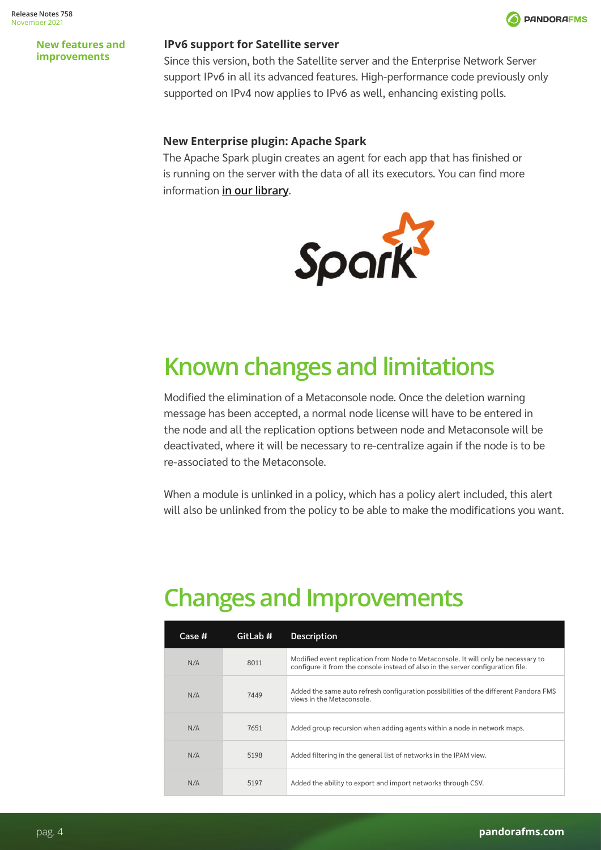

#### <span id="page-3-0"></span>**New features and improvements**

#### **IPv6 support for Satellite server**

Since this version, both the Satellite server and the Enterprise Network Server support IPv6 in all its advanced features. High-performance code previously only supported on IPv4 now applies to IPv6 as well, enhancing existing polls.

#### **New Enterprise plugin: Apache Spark**

The Apache Spark plugin creates an agent for each app that has finished or is running on the server with the data of all its executors. You can find more information **[in our library](https://pandorafms.com/guides/public/books/plugin-apache-spark)**.



# **Known changes and limitations**

Modified the elimination of a Metaconsole node. Once the deletion warning message has been accepted, a normal node license will have to be entered in the node and all the replication options between node and Metaconsole will be deactivated, where it will be necessary to re-centralize again if the node is to be re-associated to the Metaconsole.

When a module is unlinked in a policy, which has a policy alert included, this alert will also be unlinked from the policy to be able to make the modifications you want.

## **Changes and Improvements**

| Case # | GitLab # | <b>Description</b>                                                                                                                                                   |
|--------|----------|----------------------------------------------------------------------------------------------------------------------------------------------------------------------|
| N/A    | 8011     | Modified event replication from Node to Metaconsole. It will only be necessary to<br>configure it from the console instead of also in the server configuration file. |
| N/A    | 7449     | Added the same auto refresh configuration possibilities of the different Pandora FMS<br>views in the Metaconsole.                                                    |
| N/A    | 7651     | Added group recursion when adding agents within a node in network maps.                                                                                              |
| N/A    | 5198     | Added filtering in the general list of networks in the IPAM view.                                                                                                    |
| N/A    | 5197     | Added the ability to export and import networks through CSV.                                                                                                         |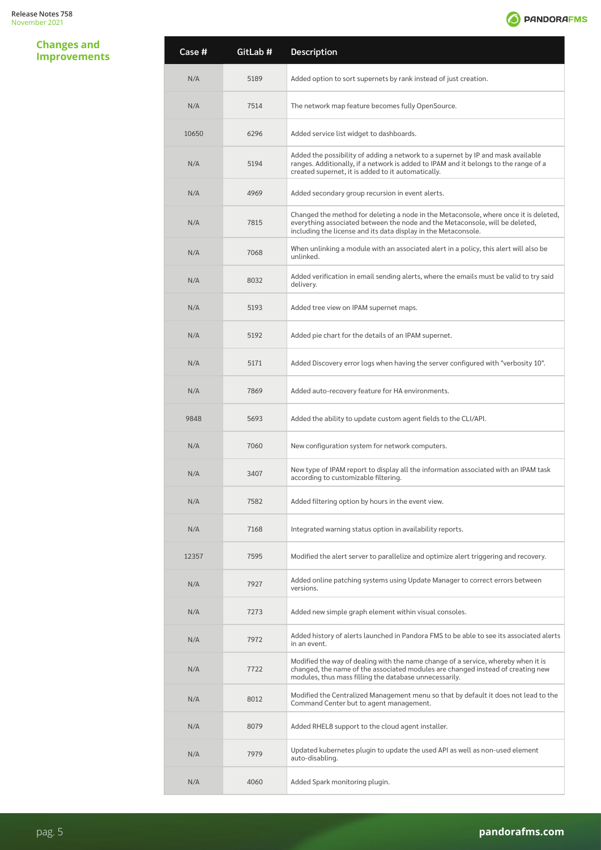**Changes and Improvements**



| Case # | GitLab # | Description                                                                                                                                                                                                                            |
|--------|----------|----------------------------------------------------------------------------------------------------------------------------------------------------------------------------------------------------------------------------------------|
| N/A    | 5189     | Added option to sort supernets by rank instead of just creation.                                                                                                                                                                       |
| N/A    | 7514     | The network map feature becomes fully OpenSource.                                                                                                                                                                                      |
| 10650  | 6296     | Added service list widget to dashboards.                                                                                                                                                                                               |
| N/A    | 5194     | Added the possibility of adding a network to a supernet by IP and mask available<br>ranges. Additionally, if a network is added to IPAM and it belongs to the range of a<br>created supernet, it is added to it automatically.         |
| N/A    | 4969     | Added secondary group recursion in event alerts.                                                                                                                                                                                       |
| N/A    | 7815     | Changed the method for deleting a node in the Metaconsole, where once it is deleted,<br>everything associated between the node and the Metaconsole, will be deleted,<br>including the license and its data display in the Metaconsole. |
| N/A    | 7068     | When unlinking a module with an associated alert in a policy, this alert will also be<br>unlinked.                                                                                                                                     |
| N/A    | 8032     | Added verification in email sending alerts, where the emails must be valid to try said<br>delivery.                                                                                                                                    |
| N/A    | 5193     | Added tree view on IPAM supernet maps.                                                                                                                                                                                                 |
| N/A    | 5192     | Added pie chart for the details of an IPAM supernet.                                                                                                                                                                                   |
| N/A    | 5171     | Added Discovery error logs when having the server configured with "verbosity 10".                                                                                                                                                      |
| N/A    | 7869     | Added auto-recovery feature for HA environments.                                                                                                                                                                                       |
| 9848   | 5693     | Added the ability to update custom agent fields to the CLI/API.                                                                                                                                                                        |
| N/A    | 7060     | New configuration system for network computers.                                                                                                                                                                                        |
| N/A    | 3407     | New type of IPAM report to display all the information associated with an IPAM task<br>according to customizable filtering.                                                                                                            |
| N/A    | 7582     | Added filtering option by hours in the event view.                                                                                                                                                                                     |
| N/A    | 7168     | Integrated warning status option in availability reports.                                                                                                                                                                              |
| 12357  | 7595     | Modified the alert server to parallelize and optimize alert triggering and recovery.                                                                                                                                                   |
| N/A    | 7927     | Added online patching systems using Update Manager to correct errors between<br>versions.                                                                                                                                              |
| N/A    | 7273     | Added new simple graph element within visual consoles.                                                                                                                                                                                 |
| N/A    | 7972     | Added history of alerts launched in Pandora FMS to be able to see its associated alerts<br>in an event.                                                                                                                                |
| N/A    | 7722     | Modified the way of dealing with the name change of a service, whereby when it is<br>changed, the name of the associated modules are changed instead of creating new<br>modules, thus mass filling the database unnecessarily.         |
| N/A    | 8012     | Modified the Centralized Management menu so that by default it does not lead to the<br>Command Center but to agent management.                                                                                                         |
| N/A    | 8079     | Added RHEL8 support to the cloud agent installer.                                                                                                                                                                                      |
| N/A    | 7979     | Updated kubernetes plugin to update the used API as well as non-used element<br>auto-disabling.                                                                                                                                        |
| N/A    | 4060     | Added Spark monitoring plugin.                                                                                                                                                                                                         |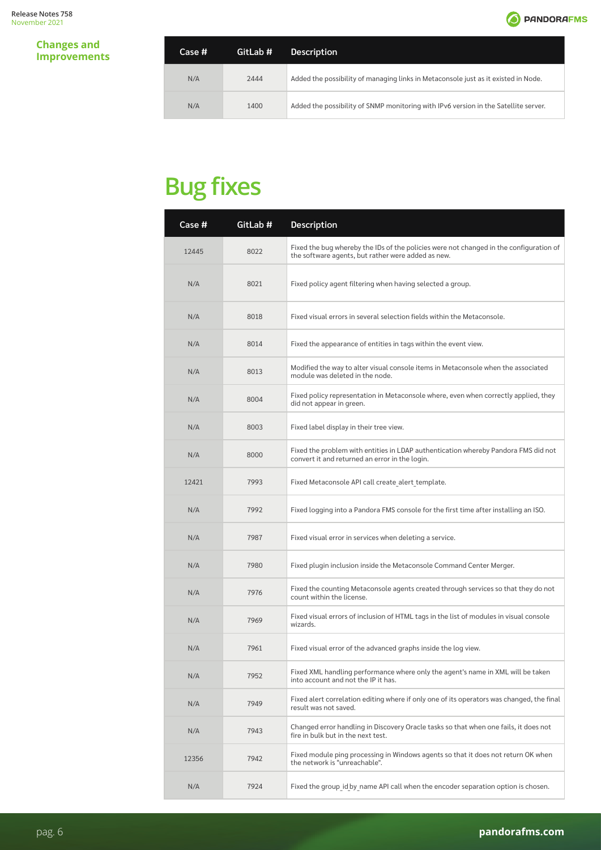

#### <span id="page-5-0"></span>**Changes and Improvements**

| Case # | GitLab # | <b>Description</b>                                                                  |
|--------|----------|-------------------------------------------------------------------------------------|
| N/A    | 2444     | Added the possibility of managing links in Metaconsole just as it existed in Node.  |
| N/A    | 1400     | Added the possibility of SNMP monitoring with IPv6 version in the Satellite server. |

| Case # | GitLab # | Description                                                                                                                                  |
|--------|----------|----------------------------------------------------------------------------------------------------------------------------------------------|
| 12445  | 8022     | Fixed the bug whereby the IDs of the policies were not changed in the configuration of<br>the software agents, but rather were added as new. |
| N/A    | 8021     | Fixed policy agent filtering when having selected a group.                                                                                   |
| N/A    | 8018     | Fixed visual errors in several selection fields within the Metaconsole.                                                                      |
| N/A    | 8014     | Fixed the appearance of entities in tags within the event view.                                                                              |
| N/A    | 8013     | Modified the way to alter visual console items in Metaconsole when the associated<br>module was deleted in the node.                         |
| N/A    | 8004     | Fixed policy representation in Metaconsole where, even when correctly applied, they<br>did not appear in green.                              |
| N/A    | 8003     | Fixed label display in their tree view.                                                                                                      |
| N/A    | 8000     | Fixed the problem with entities in LDAP authentication whereby Pandora FMS did not<br>convert it and returned an error in the login.         |
| 12421  | 7993     | Fixed Metaconsole API call create alert template.                                                                                            |
| N/A    | 7992     | Fixed logging into a Pandora FMS console for the first time after installing an ISO.                                                         |
| N/A    | 7987     | Fixed visual error in services when deleting a service.                                                                                      |
| N/A    | 7980     | Fixed plugin inclusion inside the Metaconsole Command Center Merger.                                                                         |
| N/A    | 7976     | Fixed the counting Metaconsole agents created through services so that they do not<br>count within the license.                              |
| N/A    | 7969     | Fixed visual errors of inclusion of HTML tags in the list of modules in visual console<br>wizards.                                           |
| N/A    | 7961     | Fixed visual error of the advanced graphs inside the log view.                                                                               |
| N/A    | 7952     | Fixed XML handling performance where only the agent's name in XML will be taken<br>into account and not the IP it has.                       |
| N/A    | 7949     | Fixed alert correlation editing where if only one of its operators was changed, the final<br>result was not saved.                           |
| N/A    | 7943     | Changed error handling in Discovery Oracle tasks so that when one fails, it does not<br>fire in bulk but in the next test.                   |
| 12356  | 7942     | Fixed module ping processing in Windows agents so that it does not return OK when<br>the network is "unreachable".                           |
| N/A    | 7924     | Fixed the group id by name API call when the encoder separation option is chosen.                                                            |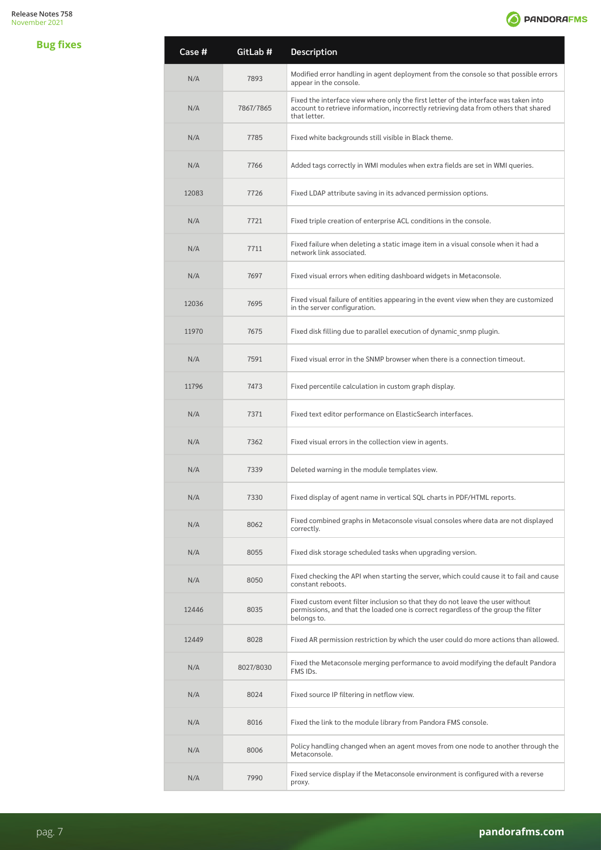

| Case # | GitLab #  | Description                                                                                                                                                                                  |
|--------|-----------|----------------------------------------------------------------------------------------------------------------------------------------------------------------------------------------------|
| N/A    | 7893      | Modified error handling in agent deployment from the console so that possible errors<br>appear in the console.                                                                               |
| N/A    | 7867/7865 | Fixed the interface view where only the first letter of the interface was taken into<br>account to retrieve information, incorrectly retrieving data from others that shared<br>that letter. |
| N/A    | 7785      | Fixed white backgrounds still visible in Black theme.                                                                                                                                        |
| N/A    | 7766      | Added tags correctly in WMI modules when extra fields are set in WMI queries.                                                                                                                |
| 12083  | 7726      | Fixed LDAP attribute saving in its advanced permission options.                                                                                                                              |
| N/A    | 7721      | Fixed triple creation of enterprise ACL conditions in the console.                                                                                                                           |
| N/A    | 7711      | Fixed failure when deleting a static image item in a visual console when it had a<br>network link associated.                                                                                |
| N/A    | 7697      | Fixed visual errors when editing dashboard widgets in Metaconsole.                                                                                                                           |
| 12036  | 7695      | Fixed visual failure of entities appearing in the event view when they are customized<br>in the server configuration.                                                                        |
| 11970  | 7675      | Fixed disk filling due to parallel execution of dynamic snmp plugin.                                                                                                                         |
| N/A    | 7591      | Fixed visual error in the SNMP browser when there is a connection timeout.                                                                                                                   |
| 11796  | 7473      | Fixed percentile calculation in custom graph display.                                                                                                                                        |
| N/A    | 7371      | Fixed text editor performance on ElasticSearch interfaces.                                                                                                                                   |
| N/A    | 7362      | Fixed visual errors in the collection view in agents.                                                                                                                                        |
| N/A    | 7339      | Deleted warning in the module templates view.                                                                                                                                                |
| N/A    | 7330      | Fixed display of agent name in vertical SQL charts in PDF/HTML reports.                                                                                                                      |
| N/A    | 8062      | Fixed combined graphs in Metaconsole visual consoles where data are not displayed<br>correctly.                                                                                              |
| N/A    | 8055      | Fixed disk storage scheduled tasks when upgrading version.                                                                                                                                   |
| N/A    | 8050      | Fixed checking the API when starting the server, which could cause it to fail and cause<br>constant reboots.                                                                                 |
| 12446  | 8035      | Fixed custom event filter inclusion so that they do not leave the user without<br>permissions, and that the loaded one is correct regardless of the group the filter<br>belongs to.          |
| 12449  | 8028      | Fixed AR permission restriction by which the user could do more actions than allowed.                                                                                                        |
| N/A    | 8027/8030 | Fixed the Metaconsole merging performance to avoid modifying the default Pandora<br>FMS IDs.                                                                                                 |
| N/A    | 8024      | Fixed source IP filtering in netflow view.                                                                                                                                                   |
| N/A    | 8016      | Fixed the link to the module library from Pandora FMS console.                                                                                                                               |
| N/A    | 8006      | Policy handling changed when an agent moves from one node to another through the<br>Metaconsole.                                                                                             |
| N/A    | 7990      | Fixed service display if the Metaconsole environment is configured with a reverse<br>proxy.                                                                                                  |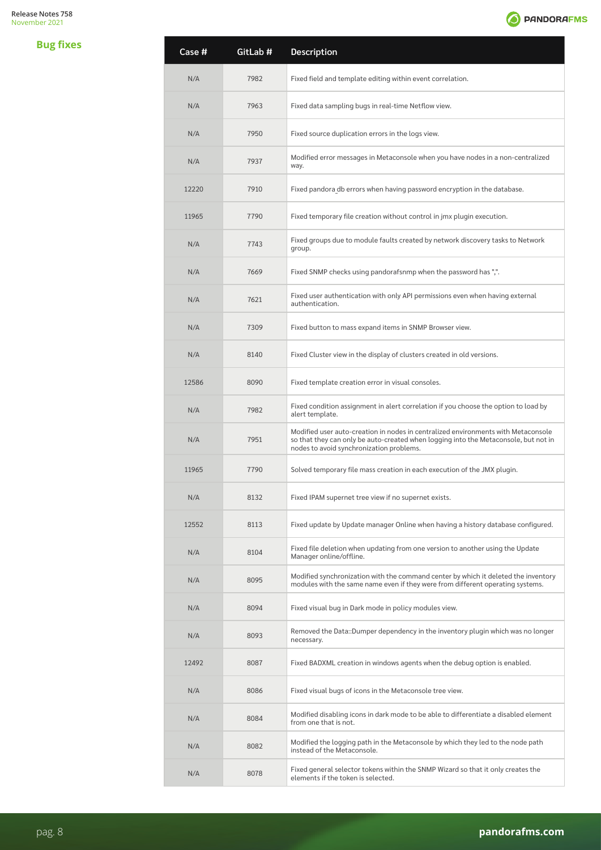

| Case # | GitLab # | Description                                                                                                                                                                                                          |
|--------|----------|----------------------------------------------------------------------------------------------------------------------------------------------------------------------------------------------------------------------|
| N/A    | 7982     | Fixed field and template editing within event correlation.                                                                                                                                                           |
| N/A    | 7963     | Fixed data sampling bugs in real-time Netflow view.                                                                                                                                                                  |
| N/A    | 7950     | Fixed source duplication errors in the logs view.                                                                                                                                                                    |
| N/A    | 7937     | Modified error messages in Metaconsole when you have nodes in a non-centralized<br>way.                                                                                                                              |
| 12220  | 7910     | Fixed pandora db errors when having password encryption in the database.                                                                                                                                             |
| 11965  | 7790     | Fixed temporary file creation without control in jmx plugin execution.                                                                                                                                               |
| N/A    | 7743     | Fixed groups due to module faults created by network discovery tasks to Network<br>group.                                                                                                                            |
| N/A    | 7669     | Fixed SNMP checks using pandorafsnmp when the password has ",".                                                                                                                                                      |
| N/A    | 7621     | Fixed user authentication with only API permissions even when having external<br>authentication.                                                                                                                     |
| N/A    | 7309     | Fixed button to mass expand items in SNMP Browser view.                                                                                                                                                              |
| N/A    | 8140     | Fixed Cluster view in the display of clusters created in old versions.                                                                                                                                               |
| 12586  | 8090     | Fixed template creation error in visual consoles.                                                                                                                                                                    |
| N/A    | 7982     | Fixed condition assignment in alert correlation if you choose the option to load by<br>alert template.                                                                                                               |
| N/A    | 7951     | Modified user auto-creation in nodes in centralized environments with Metaconsole<br>so that they can only be auto-created when logging into the Metaconsole, but not in<br>nodes to avoid synchronization problems. |
| 11965  | 7790     | Solved temporary file mass creation in each execution of the JMX plugin.                                                                                                                                             |
| N/A    | 8132     | Fixed IPAM supernet tree view if no supernet exists.                                                                                                                                                                 |
| 12552  | 8113     | Fixed update by Update manager Online when having a history database configured.                                                                                                                                     |
| N/A    | 8104     | Fixed file deletion when updating from one version to another using the Update<br>Manager online/offline.                                                                                                            |
| N/A    | 8095     | Modified synchronization with the command center by which it deleted the inventory<br>modules with the same name even if they were from different operating systems.                                                 |
| N/A    | 8094     | Fixed visual bug in Dark mode in policy modules view.                                                                                                                                                                |
| N/A    | 8093     | Removed the Data::Dumper dependency in the inventory plugin which was no longer<br>necessary.                                                                                                                        |
| 12492  | 8087     | Fixed BADXML creation in windows agents when the debug option is enabled.                                                                                                                                            |
| N/A    | 8086     | Fixed visual bugs of icons in the Metaconsole tree view.                                                                                                                                                             |
| N/A    | 8084     | Modified disabling icons in dark mode to be able to differentiate a disabled element<br>from one that is not.                                                                                                        |
| N/A    | 8082     | Modified the logging path in the Metaconsole by which they led to the node path<br>instead of the Metaconsole.                                                                                                       |
| N/A    | 8078     | Fixed general selector tokens within the SNMP Wizard so that it only creates the<br>elements if the token is selected.                                                                                               |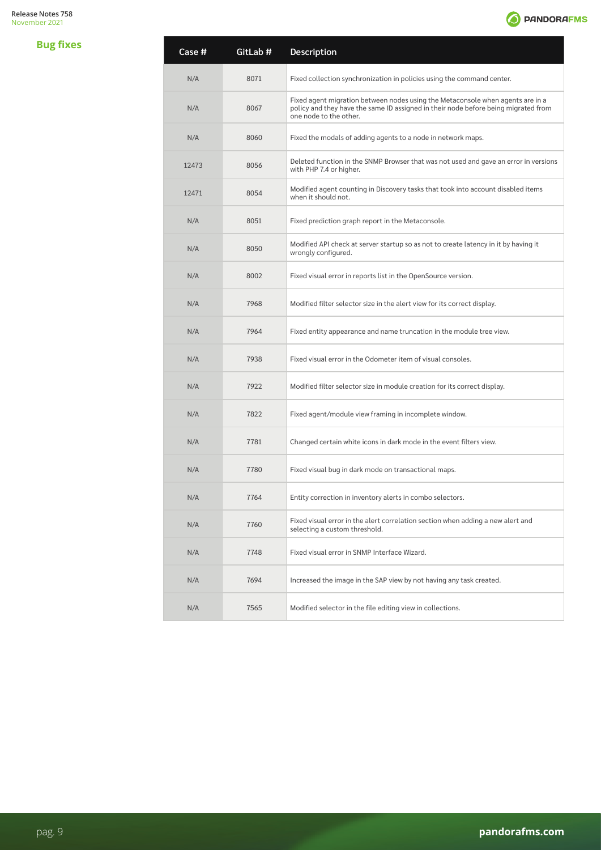

| Case # | GitLab # | <b>Description</b>                                                                                                                                                                             |
|--------|----------|------------------------------------------------------------------------------------------------------------------------------------------------------------------------------------------------|
| N/A    | 8071     | Fixed collection synchronization in policies using the command center.                                                                                                                         |
| N/A    | 8067     | Fixed agent migration between nodes using the Metaconsole when agents are in a<br>policy and they have the same ID assigned in their node before being migrated from<br>one node to the other. |
| N/A    | 8060     | Fixed the modals of adding agents to a node in network maps.                                                                                                                                   |
| 12473  | 8056     | Deleted function in the SNMP Browser that was not used and gave an error in versions<br>with PHP 7.4 or higher.                                                                                |
| 12471  | 8054     | Modified agent counting in Discovery tasks that took into account disabled items<br>when it should not.                                                                                        |
| N/A    | 8051     | Fixed prediction graph report in the Metaconsole.                                                                                                                                              |
| N/A    | 8050     | Modified API check at server startup so as not to create latency in it by having it<br>wrongly configured.                                                                                     |
| N/A    | 8002     | Fixed visual error in reports list in the OpenSource version.                                                                                                                                  |
| N/A    | 7968     | Modified filter selector size in the alert view for its correct display.                                                                                                                       |
| N/A    | 7964     | Fixed entity appearance and name truncation in the module tree view.                                                                                                                           |
| N/A    | 7938     | Fixed visual error in the Odometer item of visual consoles.                                                                                                                                    |
| N/A    | 7922     | Modified filter selector size in module creation for its correct display.                                                                                                                      |
| N/A    | 7822     | Fixed agent/module view framing in incomplete window.                                                                                                                                          |
| N/A    | 7781     | Changed certain white icons in dark mode in the event filters view.                                                                                                                            |
| N/A    | 7780     | Fixed visual bug in dark mode on transactional maps.                                                                                                                                           |
| N/A    | 7764     | Entity correction in inventory alerts in combo selectors.                                                                                                                                      |
| N/A    | 7760     | Fixed visual error in the alert correlation section when adding a new alert and<br>selecting a custom threshold.                                                                               |
| N/A    | 7748     | Fixed visual error in SNMP Interface Wizard.                                                                                                                                                   |
| N/A    | 7694     | Increased the image in the SAP view by not having any task created.                                                                                                                            |
| N/A    | 7565     | Modified selector in the file editing view in collections.                                                                                                                                     |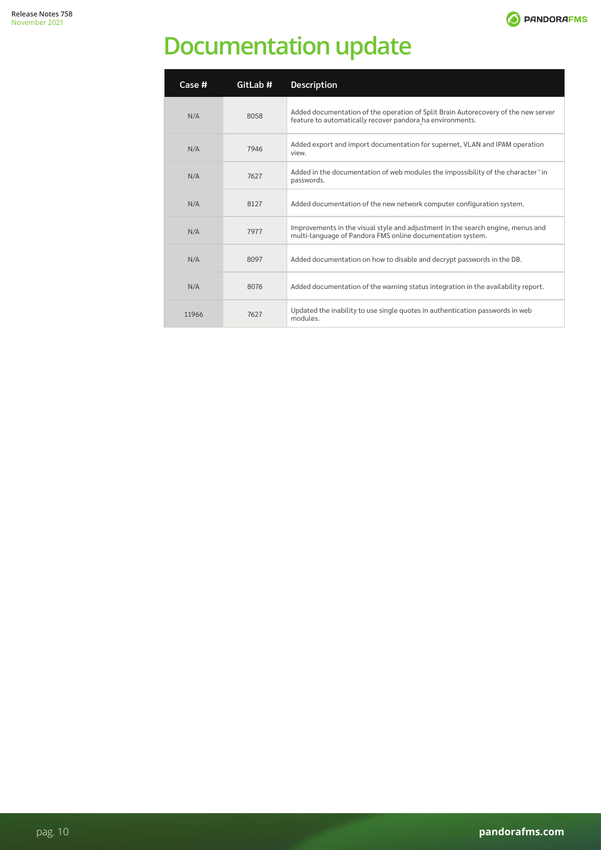

# <span id="page-9-0"></span>**Documentation update**

| Case # | GitLab # | <b>Description</b>                                                                                                                              |
|--------|----------|-------------------------------------------------------------------------------------------------------------------------------------------------|
| N/A    | 8058     | Added documentation of the operation of Split Brain Autorecovery of the new server<br>feature to automatically recover pandora ha environments. |
| N/A    | 7946     | Added export and import documentation for supernet, VLAN and IPAM operation<br>view.                                                            |
| N/A    | 7627     | Added in the documentation of web modules the impossibility of the character 'in<br>passwords.                                                  |
| N/A    | 8127     | Added documentation of the new network computer configuration system.                                                                           |
| N/A    | 7977     | Improvements in the visual style and adjustment in the search engine, menus and<br>multi-language of Pandora FMS online documentation system.   |
| N/A    | 8097     | Added documentation on how to disable and decrypt passwords in the DB.                                                                          |
| N/A    | 8076     | Added documentation of the warning status integration in the availability report.                                                               |
| 11966  | 7627     | Updated the inability to use single quotes in authentication passwords in web<br>modules.                                                       |